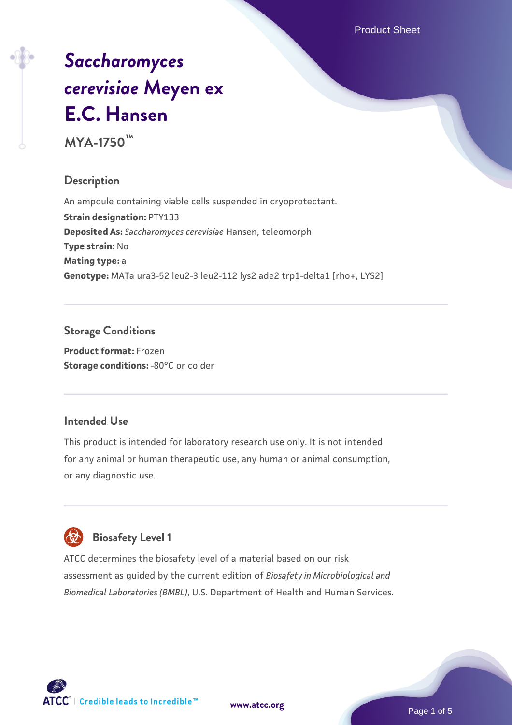Product Sheet

# *[Saccharomyces](https://www.atcc.org/products/mya-1750) [cerevisiae](https://www.atcc.org/products/mya-1750)* **[Meyen ex](https://www.atcc.org/products/mya-1750) [E.C. Hansen](https://www.atcc.org/products/mya-1750)**

**MYA-1750™**

#### **Description**

An ampoule containing viable cells suspended in cryoprotectant. **Strain designation:** PTY133 **Deposited As:** *Saccharomyces cerevisiae* Hansen, teleomorph **Type strain:** No **Mating type:** a **Genotype:** MATa ura3-52 leu2-3 leu2-112 lys2 ade2 trp1-delta1 [rho+, LYS2]

## **Storage Conditions**

**Product format:** Frozen **Storage conditions: -80°C or colder** 

#### **Intended Use**

This product is intended for laboratory research use only. It is not intended for any animal or human therapeutic use, any human or animal consumption, or any diagnostic use.

# **Biosafety Level 1**

ATCC determines the biosafety level of a material based on our risk assessment as guided by the current edition of *Biosafety in Microbiological and Biomedical Laboratories (BMBL)*, U.S. Department of Health and Human Services.

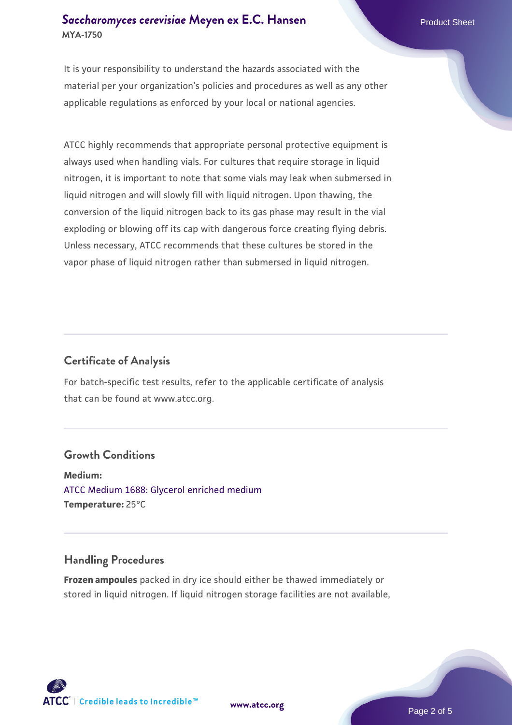#### **[Saccharomyces cerevisiae](https://www.atcc.org/products/mya-1750)** [Meyen ex E.C. Hansen](https://www.atcc.org/products/mya-1750) **MYA-1750**

It is your responsibility to understand the hazards associated with the material per your organization's policies and procedures as well as any other applicable regulations as enforced by your local or national agencies.

ATCC highly recommends that appropriate personal protective equipment is always used when handling vials. For cultures that require storage in liquid nitrogen, it is important to note that some vials may leak when submersed in liquid nitrogen and will slowly fill with liquid nitrogen. Upon thawing, the conversion of the liquid nitrogen back to its gas phase may result in the vial exploding or blowing off its cap with dangerous force creating flying debris. Unless necessary, ATCC recommends that these cultures be stored in the vapor phase of liquid nitrogen rather than submersed in liquid nitrogen.

#### **Certificate of Analysis**

For batch-specific test results, refer to the applicable certificate of analysis that can be found at www.atcc.org.

#### **Growth Conditions**

**Medium:**  [ATCC Medium 1688: Glycerol enriched medium](https://www.atcc.org/-/media/product-assets/documents/microbial-media-formulations/1/6/8/8/atcc-medium-1688.pdf?rev=1729c89ba8fa4c968e47d84284b2308f) **Temperature:** 25°C

#### **Handling Procedures**

**Frozen ampoules** packed in dry ice should either be thawed immediately or stored in liquid nitrogen. If liquid nitrogen storage facilities are not available,

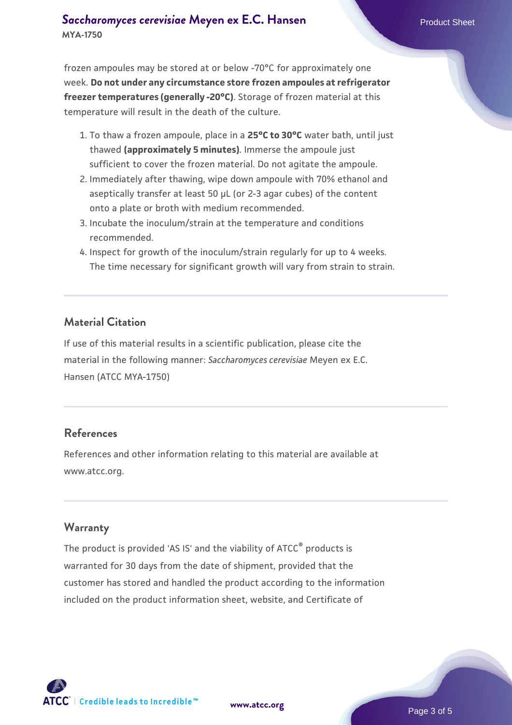#### **[Saccharomyces cerevisiae](https://www.atcc.org/products/mya-1750)** [Meyen ex E.C. Hansen](https://www.atcc.org/products/mya-1750) **MYA-1750**

frozen ampoules may be stored at or below -70°C for approximately one week. **Do not under any circumstance store frozen ampoules at refrigerator freezer temperatures (generally -20°C)**. Storage of frozen material at this temperature will result in the death of the culture.

- 1. To thaw a frozen ampoule, place in a **25°C to 30°C** water bath, until just thawed **(approximately 5 minutes)**. Immerse the ampoule just sufficient to cover the frozen material. Do not agitate the ampoule.
- 2. Immediately after thawing, wipe down ampoule with 70% ethanol and aseptically transfer at least 50 µL (or 2-3 agar cubes) of the content onto a plate or broth with medium recommended.
- 3. Incubate the inoculum/strain at the temperature and conditions recommended.
- 4. Inspect for growth of the inoculum/strain regularly for up to 4 weeks. The time necessary for significant growth will vary from strain to strain.

#### **Material Citation**

If use of this material results in a scientific publication, please cite the material in the following manner: *Saccharomyces cerevisiae* Meyen ex E.C. Hansen (ATCC MYA-1750)

#### **References**

References and other information relating to this material are available at www.atcc.org.

#### **Warranty**

The product is provided 'AS IS' and the viability of ATCC® products is warranted for 30 days from the date of shipment, provided that the customer has stored and handled the product according to the information included on the product information sheet, website, and Certificate of

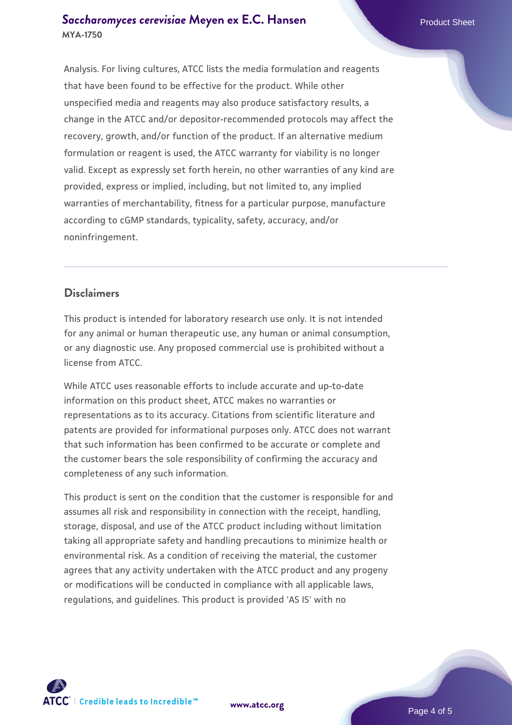#### **[Saccharomyces cerevisiae](https://www.atcc.org/products/mya-1750)** [Meyen ex E.C. Hansen](https://www.atcc.org/products/mya-1750) **MYA-1750**

Analysis. For living cultures, ATCC lists the media formulation and reagents that have been found to be effective for the product. While other unspecified media and reagents may also produce satisfactory results, a change in the ATCC and/or depositor-recommended protocols may affect the recovery, growth, and/or function of the product. If an alternative medium formulation or reagent is used, the ATCC warranty for viability is no longer valid. Except as expressly set forth herein, no other warranties of any kind are provided, express or implied, including, but not limited to, any implied warranties of merchantability, fitness for a particular purpose, manufacture according to cGMP standards, typicality, safety, accuracy, and/or noninfringement.

#### **Disclaimers**

This product is intended for laboratory research use only. It is not intended for any animal or human therapeutic use, any human or animal consumption, or any diagnostic use. Any proposed commercial use is prohibited without a license from ATCC.

While ATCC uses reasonable efforts to include accurate and up-to-date information on this product sheet, ATCC makes no warranties or representations as to its accuracy. Citations from scientific literature and patents are provided for informational purposes only. ATCC does not warrant that such information has been confirmed to be accurate or complete and the customer bears the sole responsibility of confirming the accuracy and completeness of any such information.

This product is sent on the condition that the customer is responsible for and assumes all risk and responsibility in connection with the receipt, handling, storage, disposal, and use of the ATCC product including without limitation taking all appropriate safety and handling precautions to minimize health or environmental risk. As a condition of receiving the material, the customer agrees that any activity undertaken with the ATCC product and any progeny or modifications will be conducted in compliance with all applicable laws, regulations, and guidelines. This product is provided 'AS IS' with no



**[www.atcc.org](http://www.atcc.org)**

Page 4 of 5